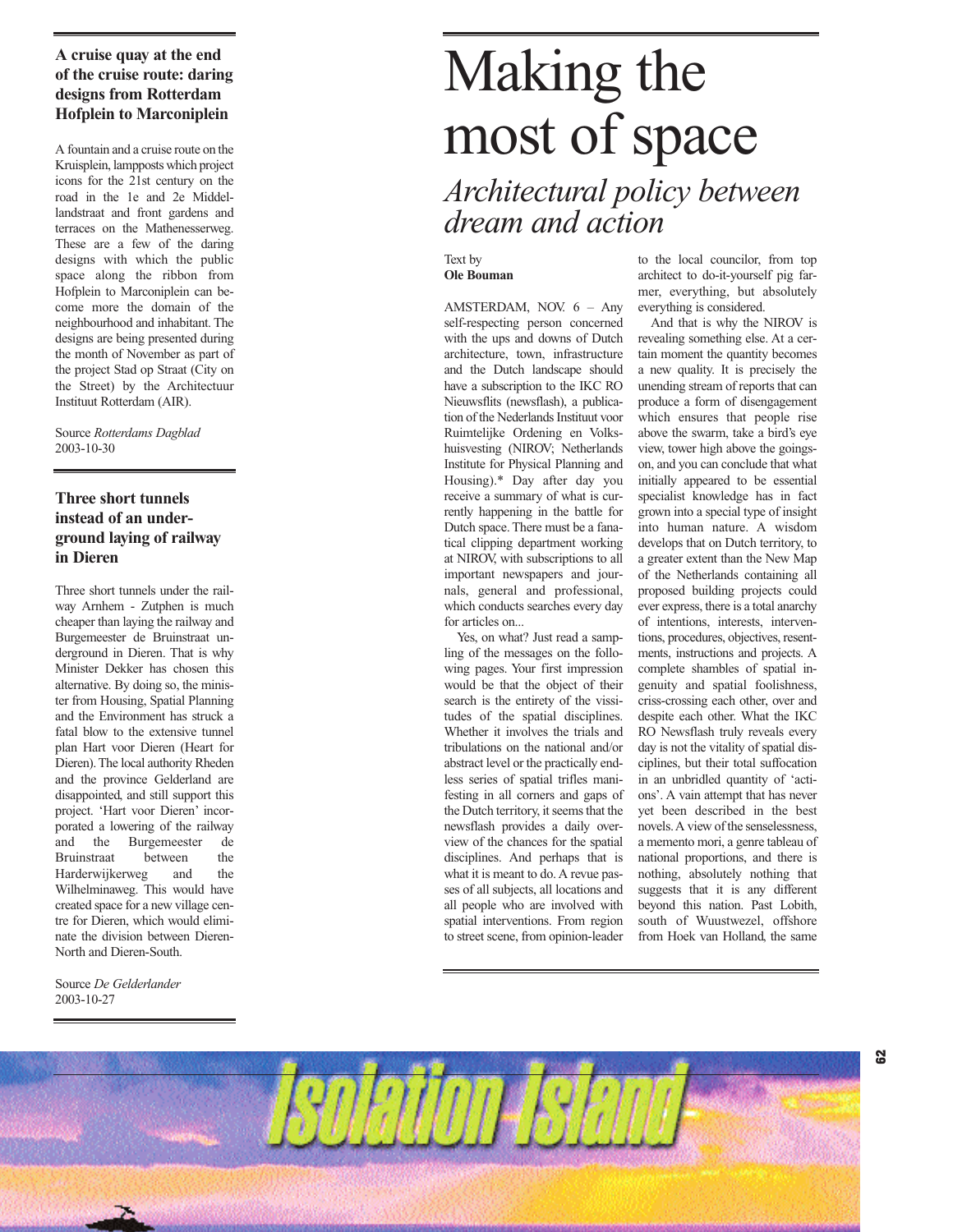# **A cruise quay at the end of the cruise route: daring designs from Rotterdam Hofplein to Marconiplein**

A fountain and a cruise route on the Kruisplein, lampposts which project icons for the 21st century on the road in the 1e and 2e Middellandstraat and front gardens and terraces on the Mathenesserweg. These are a few of the daring designs with which the public space along the ribbon from Hofplein to Marconiplein can become more the domain of the neighbourhood and inhabitant. The designs are being presented during the month of November as part of the project Stad op Straat (City on the Street) by the Architectuur Instituut Rotterdam (AIR).

Source *Rotterdams Dagblad*  2003-10-30

# **Three short tunnels instead of an underground laying of railway in Dieren**

Three short tunnels under the railway Arnhem - Zutphen is much cheaper than laying the railway and Burgemeester de Bruinstraat underground in Dieren. That is why Minister Dekker has chosen this alternative. By doing so, the minister from Housing, Spatial Planning and the Environment has struck a fatal blow to the extensive tunnel plan Hart voor Dieren (Heart for Dieren). The local authority Rheden and the province Gelderland are disappointed, and still support this project. 'Hart voor Dieren' incorporated a lowering of the railway and the Burgemeester de Bruinstraat between the Harderwijkerweg and the Wilhelminaweg. This would have created space for a new village centre for Dieren, which would eliminate the division between Dieren-North and Dieren-South.

Source *De Gelderlander*  2003-10-27

# Making the most of space

*Architectural policy between dream and action*

#### Text by **Ole Bouman**

AMSTERDAM, NOV. 6 – Any self-respecting person concerned with the ups and downs of Dutch architecture, town, infrastructure and the Dutch landscape should have a subscription to the IKC RO Nieuwsflits (newsflash), a publication of the Nederlands Instituut voor Ruimtelijke Ordening en Volkshuisvesting (NIROV; Netherlands Institute for Physical Planning and Housing).\* Day after day you receive a summary of what is currently happening in the battle for Dutch space. There must be a fanatical clipping department working at NIROV, with subscriptions to all important newspapers and journals, general and professional, which conducts searches every day for articles on...

Yes, on what? Just read a sampling of the messages on the following pages. Your first impression would be that the object of their search is the entirety of the vissitudes of the spatial disciplines. Whether it involves the trials and tribulations on the national and/or abstract level or the practically endless series of spatial trifles manifesting in all corners and gaps of the Dutch territory, it seems that the newsflash provides a daily overview of the chances for the spatial disciplines. And perhaps that is what it is meant to do. A revue passes of all subjects, all locations and all people who are involved with spatial interventions. From region to street scene, from opinion-leader

to the local councilor, from top architect to do-it-yourself pig farmer, everything, but absolutely everything is considered.

And that is why the NIROV is revealing something else. At a certain moment the quantity becomes a new quality. It is precisely the unending stream of reports that can produce a form of disengagement which ensures that people rise above the swarm, take a bird's eye view, tower high above the goingson, and you can conclude that what initially appeared to be essential specialist knowledge has in fact grown into a special type of insight into human nature. A wisdom develops that on Dutch territory, to a greater extent than the New Map of the Netherlands containing all proposed building projects could ever express, there is a total anarchy of intentions, interests, interventions, procedures, objectives, resentments, instructions and projects. A complete shambles of spatial ingenuity and spatial foolishness, criss-crossing each other, over and despite each other. What the IKC RO Newsflash truly reveals every day is not the vitality of spatial disciplines, but their total suffocation in an unbridled quantity of 'actions'. A vain attempt that has never yet been described in the best novels. A view of the senselessness, a memento mori, a genre tableau of national proportions, and there is nothing, absolutely nothing that suggests that it is any different beyond this nation. Past Lobith, south of Wuustwezel, offshore from Hoek van Holland, the same

**62**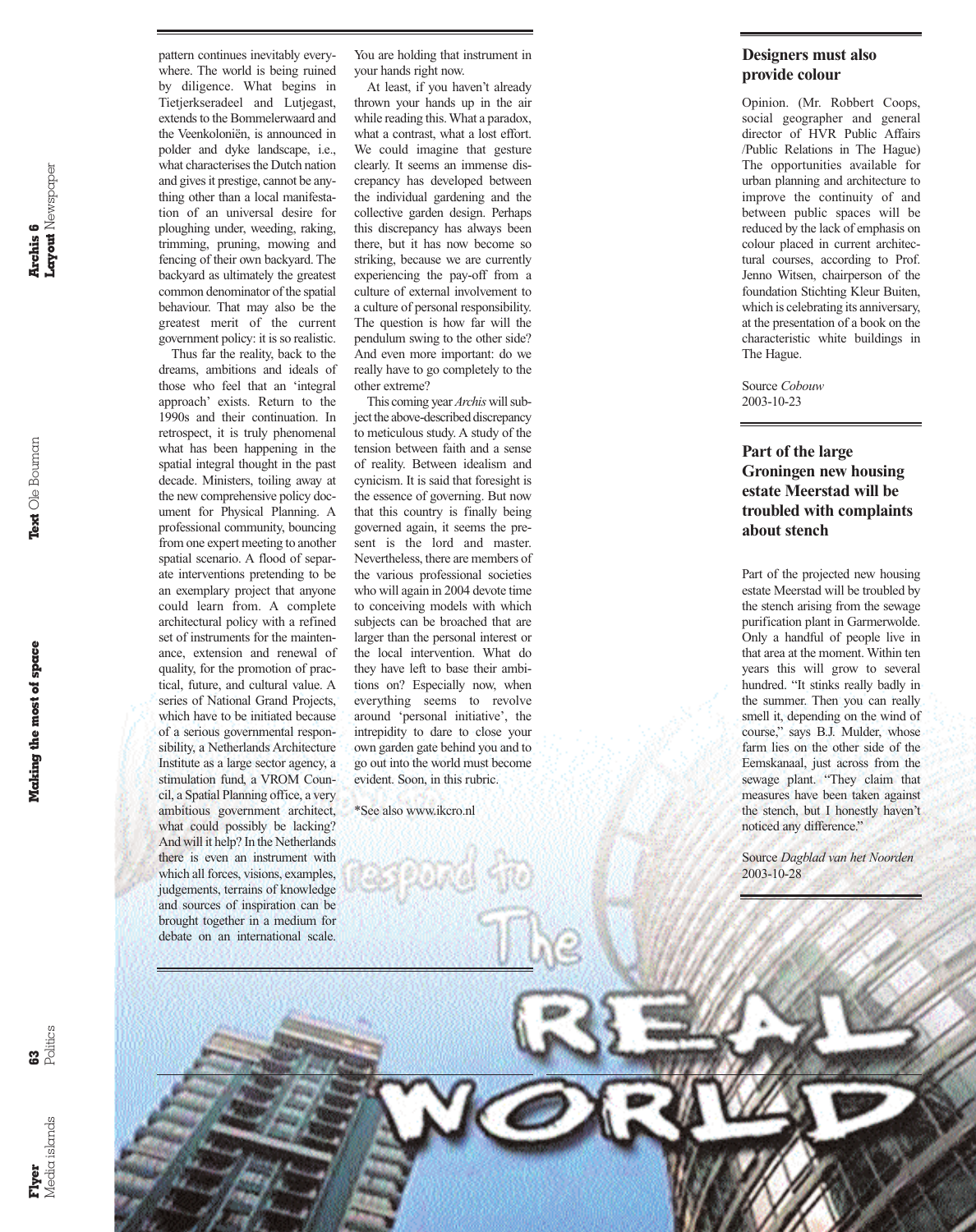**Archis 6<br>Layout** Newspaper **Layout** Newspaper

**Making the most of space Text** Ole Bouman **Archis 6** Making the most of space

**Flyer** Media islands

pattern continues inevitably everywhere. The world is being ruined by diligence. What begins in Tietjerkseradeel and Lutjegast, extends to the Bommelerwaard and the Veenkoloniën, is announced in polder and dyke landscape, i.e., what characterises the Dutch nation and gives it prestige, cannot be anything other than a local manifestation of an universal desire for ploughing under, weeding, raking, trimming, pruning, mowing and fencing of their own backyard. The backyard as ultimately the greatest common denominator of the spatial behaviour. That may also be the greatest merit of the current government policy: it is so realistic.

Thus far the reality, back to the dreams, ambitions and ideals of those who feel that an 'integral approach' exists. Return to the 1990s and their continuation. In retrospect, it is truly phenomenal what has been happening in the spatial integral thought in the past decade. Ministers, toiling away at the new comprehensive policy document for Physical Planning. A professional community, bouncing from one expert meeting to another spatial scenario. A flood of separate interventions pretending to be an exemplary project that anyone could learn from. A complete architectural policy with a refined set of instruments for the maintenance, extension and renewal of quality, for the promotion of practical, future, and cultural value. A series of National Grand Projects, which have to be initiated because of a serious governmental responsibility, a Netherlands Architecture Institute as a large sector agency, a stimulation fund, a VROM Council, a Spatial Planning office, a very ambitious government architect, what could possibly be lacking? And will it help? In the Netherlands there is even an instrument with which all forces, visions, examples, judgements, terrains of knowledge and sources of inspiration can be brought together in a medium for debate on an international scale.

You are holding that instrument in your hands right now.

At least, if you haven't already thrown your hands up in the air while reading this. What a paradox, what a contrast, what a lost effort. We could imagine that gesture clearly. It seems an immense discrepancy has developed between the individual gardening and the collective garden design. Perhaps this discrepancy has always been there, but it has now become so striking, because we are currently experiencing the pay-off from a culture of external involvement to a culture of personal responsibility. The question is how far will the pendulum swing to the other side? And even more important: do we really have to go completely to the other extreme?

This coming year *Archis* will subject the above-described discrepancy to meticulous study. A study of the tension between faith and a sense of reality. Between idealism and cynicism. It is said that foresight is the essence of governing. But now that this country is finally being governed again, it seems the present is the lord and master. Nevertheless, there are members of the various professional societies who will again in 2004 devote time to conceiving models with which subjects can be broached that are larger than the personal interest or the local intervention. What do they have left to base their ambitions on? Especially now, when everything seems to revolve around 'personal initiative', the intrepidity to dare to close your own garden gate behind you and to go out into the world must become evident. Soon, in this rubric.

\*See also www.ikcro.nl

## **Designers must also provide colour**

Opinion. (Mr. Robbert Coops, social geographer and general director of HVR Public Affairs /Public Relations in The Hague) The opportunities available for urban planning and architecture to improve the continuity of and between public spaces will be reduced by the lack of emphasis on colour placed in current architectural courses, according to Prof. Jenno Witsen, chairperson of the foundation Stichting Kleur Buiten, which is celebrating its anniversary, at the presentation of a book on the characteristic white buildings in The Hague.

Source *Cobouw*  2003-10-23

# **Part of the large Groningen new housing estate Meerstad will be troubled with complaints about stench**

Part of the projected new housing estate Meerstad will be troubled by the stench arising from the sewage purification plant in Garmerwolde. Only a handful of people live in that area at the moment. Within ten years this will grow to several hundred. "It stinks really badly in the summer. Then you can really smell it, depending on the wind of course," says B.J. Mulder, whose farm lies on the other side of the Eemskanaal, just across from the sewage plant. "They claim that measures have been taken against the stench, but I honestly haven't noticed any difference."

Source *Dagblad van het Noorden*  2003-10-28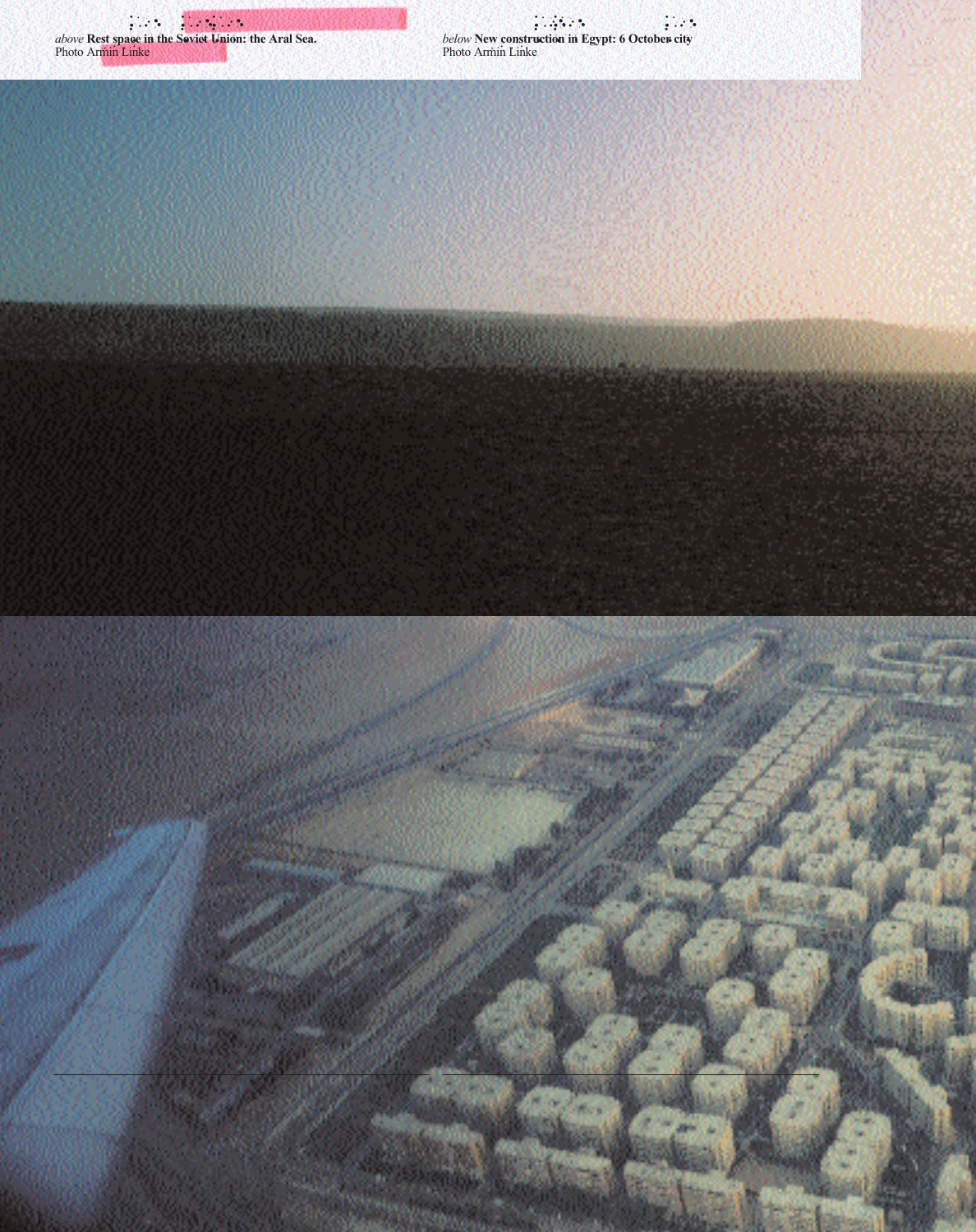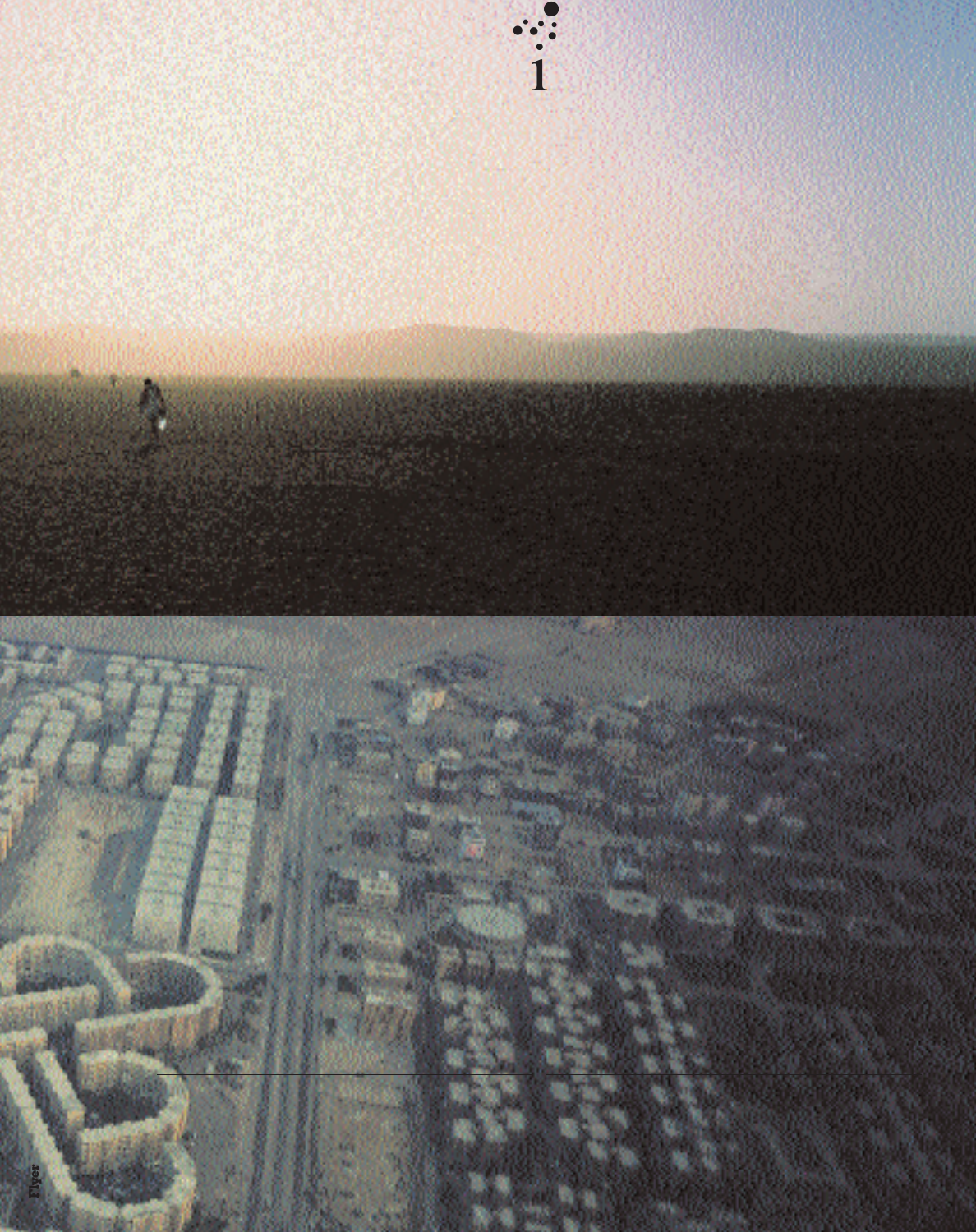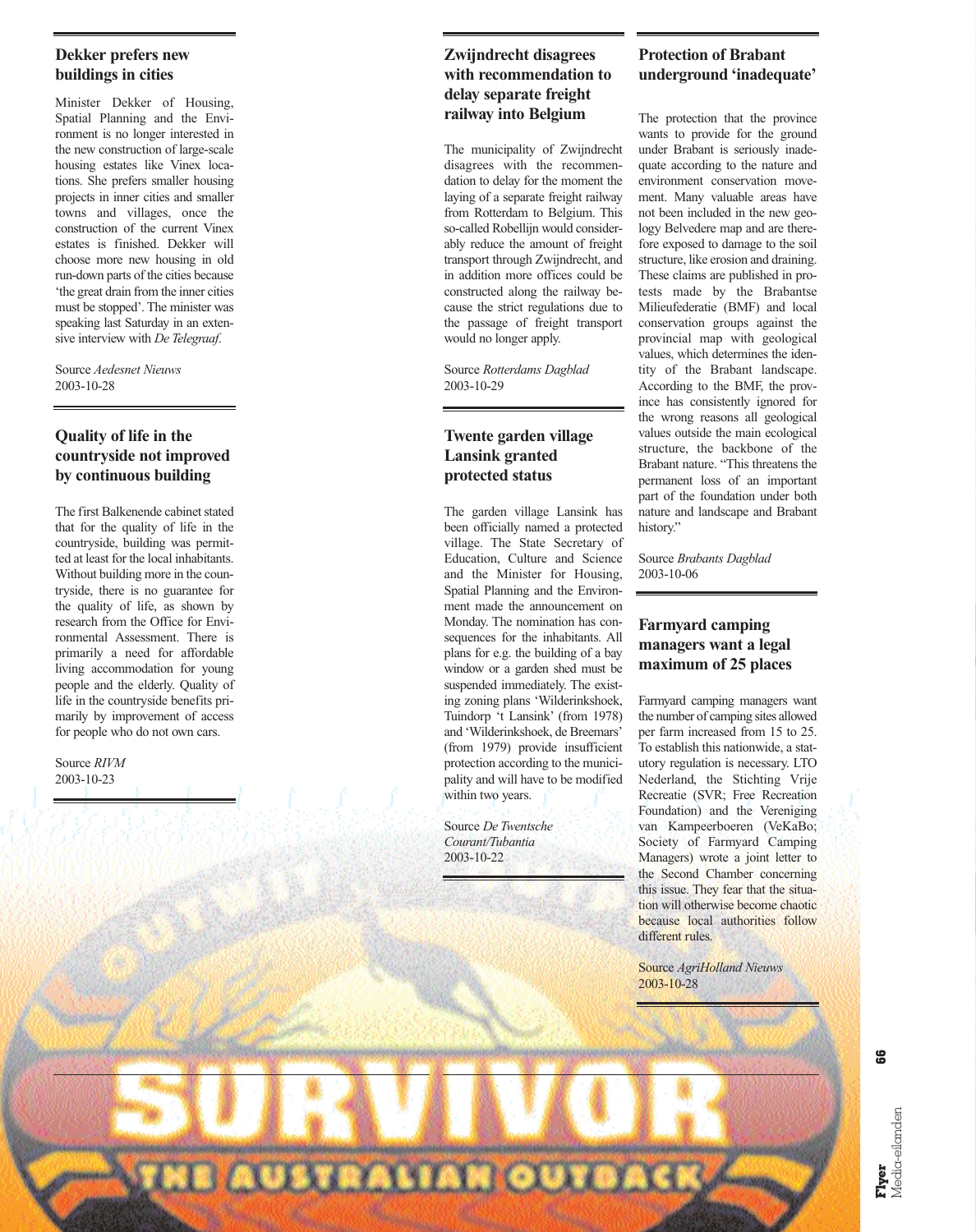## **Dekker prefers new buildings in cities**

Minister Dekker of Housing, Spatial Planning and the Environment is no longer interested in the new construction of large-scale housing estates like Vinex locations. She prefers smaller housing projects in inner cities and smaller towns and villages, once the construction of the current Vinex estates is finished. Dekker will choose more new housing in old run-down parts of the cities because 'the great drain from the inner cities must be stopped'. The minister was speaking last Saturday in an extensive interview with *De Telegraaf*.

Source *Aedesnet Nieuws*  2003-10-28

# **Quality of life in the countryside not improved by continuous building**

The first Balkenende cabinet stated that for the quality of life in the countryside, building was permitted at least for the local inhabitants. Without building more in the countryside, there is no guarantee for the quality of life, as shown by research from the Office for Environmental Assessment. There is primarily a need for affordable living accommodation for young people and the elderly. Quality of life in the countryside benefits primarily by improvement of access for people who do not own cars.

Source *RIVM*  2003-10-23

# **Zwijndrecht disagrees with recommendation to delay separate freight railway into Belgium**

The municipality of Zwijndrecht disagrees with the recommendation to delay for the moment the laying of a separate freight railway from Rotterdam to Belgium. This so-called Robellijn would considerably reduce the amount of freight transport through Zwijndrecht, and in addition more offices could be constructed along the railway because the strict regulations due to the passage of freight transport would no longer apply.

Source *Rotterdams Dagblad*  2003-10-29

# **Twente garden village Lansink granted protected status**

The garden village Lansink has been officially named a protected village. The State Secretary of Education, Culture and Science and the Minister for Housing, Spatial Planning and the Environment made the announcement on Monday. The nomination has consequences for the inhabitants. All plans for e.g. the building of a bay window or a garden shed must be suspended immediately. The existing zoning plans 'Wilderinkshoek, Tuindorp 't Lansink' (from 1978) and 'Wilderinkshoek, de Breemars' (from 1979) provide insufficient protection according to the municipality and will have to be modified within two years.

Source *De Twentsche Courant/Tubantia*  2003-10-22

**AUSTRALIAN OUTBAL** 

# **Protection of Brabant underground 'inadequate'**

The protection that the province wants to provide for the ground under Brabant is seriously inadequate according to the nature and environment conservation movement. Many valuable areas have not been included in the new geology Belvedere map and are therefore exposed to damage to the soil structure, like erosion and draining. These claims are published in protests made by the Brabantse Milieufederatie (BMF) and local conservation groups against the provincial map with geological values, which determines the identity of the Brabant landscape. According to the BMF, the province has consistently ignored for the wrong reasons all geological values outside the main ecological structure, the backbone of the Brabant nature. "This threatens the permanent loss of an important part of the foundation under both nature and landscape and Brabant history."

Source *Brabants Dagblad*  2003-10-06

## **Farmyard camping managers want a legal maximum of 25 places**

Farmyard camping managers want the number of camping sites allowed per farm increased from 15 to 25. To establish this nationwide, a statutory regulation is necessary. LTO Nederland, the Stichting Vrije Recreatie (SVR; Free Recreation Foundation) and the Vereniging van Kampeerboeren (VeKaBo; Society of Farmyard Camping Managers) wrote a joint letter to the Second Chamber concerning this issue. They fear that the situation will otherwise become chaotic because local authorities follow different rules.

Source *AgriHolland Nieuws*  2003-10-28

**66**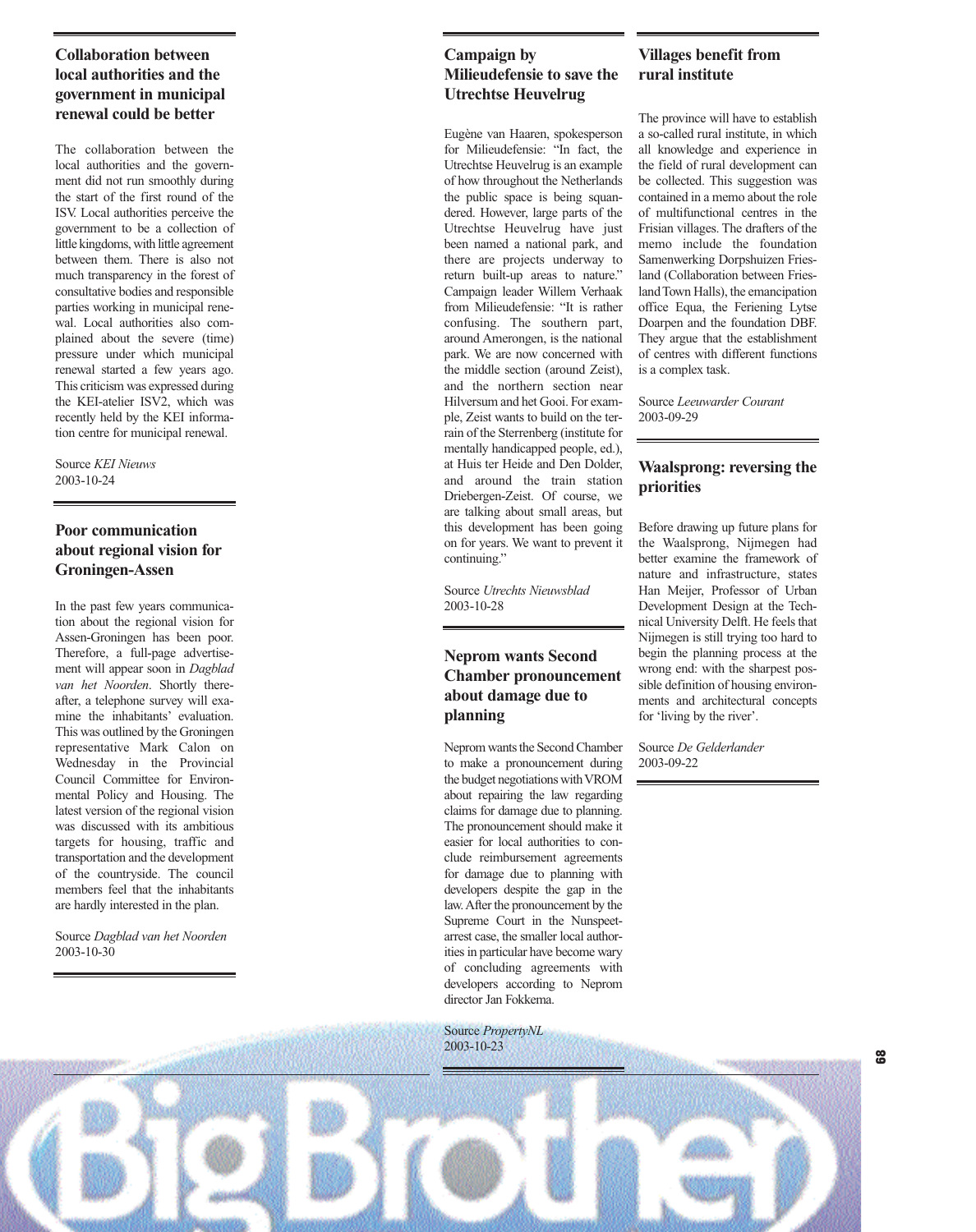# **Collaboration between local authorities and the government in municipal renewal could be better**

The collaboration between the local authorities and the government did not run smoothly during the start of the first round of the ISV. Local authorities perceive the government to be a collection of little kingdoms, with little agreement between them. There is also not much transparency in the forest of consultative bodies and responsible parties working in municipal renewal. Local authorities also complained about the severe (time) pressure under which municipal renewal started a few years ago. This criticism was expressed during the KEI-atelier ISV2, which was recently held by the KEI information centre for municipal renewal.

#### Source *KEI Nieuws*  2003-10-24

# **Poor communication about regional vision for Groningen-Assen**

In the past few years communication about the regional vision for Assen-Groningen has been poor. Therefore, a full-page advertisement will appear soon in *Dagblad van het Noorden*. Shortly thereafter, a telephone survey will examine the inhabitants' evaluation. This was outlined by the Groningen representative Mark Calon on Wednesday in the Provincial Council Committee for Environmental Policy and Housing. The latest version of the regional vision was discussed with its ambitious targets for housing, traffic and transportation and the development of the countryside. The council members feel that the inhabitants are hardly interested in the plan.

Source *Dagblad van het Noorden* 2003-10-30

# **Campaign by Milieudefensie to save the Utrechtse Heuvelrug**

Eugène van Haaren, spokesperson for Milieudefensie: "In fact, the Utrechtse Heuvelrug is an example of how throughout the Netherlands the public space is being squandered. However, large parts of the Utrechtse Heuvelrug have just been named a national park, and there are projects underway to return built-up areas to nature." Campaign leader Willem Verhaak from Milieudefensie: "It is rather confusing. The southern part, around Amerongen, is the national park. We are now concerned with the middle section (around Zeist), and the northern section near Hilversum and het Gooi. For example, Zeist wants to build on the terrain of the Sterrenberg (institute for mentally handicapped people, ed.), at Huis ter Heide and Den Dolder, and around the train station Driebergen-Zeist. Of course, we are talking about small areas, but this development has been going on for years. We want to prevent it continuing."

Source *Utrechts Nieuwsblad* 2003-10-28

## **Neprom wants Second Chamber pronouncement about damage due to planning**

Neprom wants the Second Chamber to make a pronouncement during the budget negotiations with VROM about repairing the law regarding claims for damage due to planning. The pronouncement should make it easier for local authorities to conclude reimbursement agreements for damage due to planning with developers despite the gap in the law. After the pronouncement by the Supreme Court in the Nunspeetarrest case, the smaller local authorities in particular have become wary of concluding agreements with developers according to Neprom director Jan Fokkema.

Source *PropertyNL*  2003-10-23

# **Villages benefit from rural institute**

The province will have to establish a so-called rural institute, in which all knowledge and experience in the field of rural development can be collected. This suggestion was contained in a memo about the role of multifunctional centres in the Frisian villages. The drafters of the memo include the foundation Samenwerking Dorpshuizen Friesland (Collaboration between Friesland Town Halls), the emancipation office Equa, the Feriening Lytse Doarpen and the foundation DBF. They argue that the establishment of centres with different functions is a complex task.

Source *Leeuwarder Courant*  2003-09-29

### **Waalsprong: reversing the priorities**

Before drawing up future plans for the Waalsprong, Nijmegen had better examine the framework of nature and infrastructure, states Han Meijer, Professor of Urban Development Design at the Technical University Delft. He feels that Nijmegen is still trying too hard to begin the planning process at the wrong end: with the sharpest possible definition of housing environments and architectural concepts for 'living by the river'.

Source *De Gelderlander*  2003-09-22